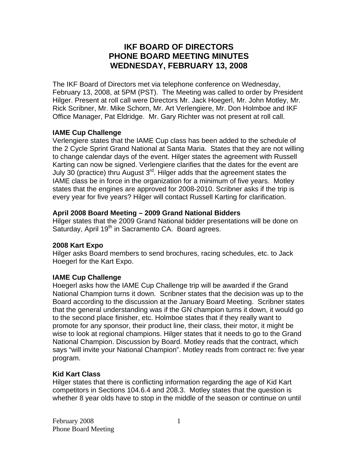# **IKF BOARD OF DIRECTORS PHONE BOARD MEETING MINUTES WEDNESDAY, FEBRUARY 13, 2008**

The IKF Board of Directors met via telephone conference on Wednesday, February 13, 2008, at 5PM (PST). The Meeting was called to order by President Hilger. Present at roll call were Directors Mr. Jack Hoegerl, Mr. John Motley, Mr. Rick Scribner, Mr. Mike Schorn, Mr. Art Verlengiere, Mr. Don Holmboe and IKF Office Manager, Pat Eldridge. Mr. Gary Richter was not present at roll call.

## **IAME Cup Challenge**

Verlengiere states that the IAME Cup class has been added to the schedule of the 2 Cycle Sprint Grand National at Santa Maria. States that they are not willing to change calendar days of the event. Hilger states the agreement with Russell Karting can now be signed. Verlengiere clarifies that the dates for the event are July 30 (practice) thru August 3<sup>rd</sup>. Hilger adds that the agreement states the IAME class be in force in the organization for a minimum of five years. Motley states that the engines are approved for 2008-2010. Scribner asks if the trip is every year for five years? Hilger will contact Russell Karting for clarification.

## **April 2008 Board Meeting – 2009 Grand National Bidders**

Hilger states that the 2009 Grand National bidder presentations will be done on Saturday, April 19<sup>th</sup> in Sacramento CA. Board agrees.

## **2008 Kart Expo**

Hilger asks Board members to send brochures, racing schedules, etc. to Jack Hoegerl for the Kart Expo.

## **IAME Cup Challenge**

Hoegerl asks how the IAME Cup Challenge trip will be awarded if the Grand National Champion turns it down. Scribner states that the decision was up to the Board according to the discussion at the January Board Meeting. Scribner states that the general understanding was if the GN champion turns it down, it would go to the second place finisher, etc. Holmboe states that if they really want to promote for any sponsor, their product line, their class, their motor, it might be wise to look at regional champions. Hilger states that it needs to go to the Grand National Champion. Discussion by Board. Motley reads that the contract, which says "will invite your National Champion". Motley reads from contract re: five year program.

## **Kid Kart Class**

Hilger states that there is conflicting information regarding the age of Kid Kart competitors in Sections 104.6.4 and 208.3. Motley states that the question is whether 8 year olds have to stop in the middle of the season or continue on until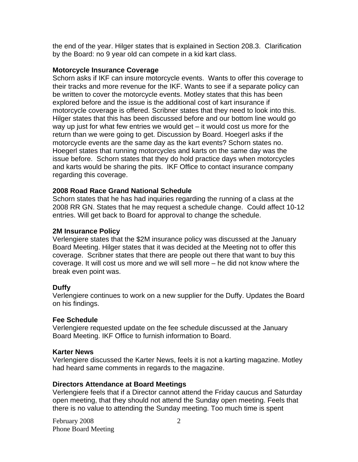the end of the year. Hilger states that is explained in Section 208.3. Clarification by the Board: no 9 year old can compete in a kid kart class.

#### **Motorcycle Insurance Coverage**

Schorn asks if IKF can insure motorcycle events. Wants to offer this coverage to their tracks and more revenue for the IKF. Wants to see if a separate policy can be written to cover the motorcycle events. Motley states that this has been explored before and the issue is the additional cost of kart insurance if motorcycle coverage is offered. Scribner states that they need to look into this. Hilger states that this has been discussed before and our bottom line would go way up just for what few entries we would get – it would cost us more for the return than we were going to get. Discussion by Board. Hoegerl asks if the motorcycle events are the same day as the kart events? Schorn states no. Hoegerl states that running motorcycles and karts on the same day was the issue before. Schorn states that they do hold practice days when motorcycles and karts would be sharing the pits. IKF Office to contact insurance company regarding this coverage.

#### **2008 Road Race Grand National Schedule**

Schorn states that he has had inquiries regarding the running of a class at the 2008 RR GN. States that he may request a schedule change. Could affect 10-12 entries. Will get back to Board for approval to change the schedule.

#### **2M Insurance Policy**

Verlengiere states that the \$2M insurance policy was discussed at the January Board Meeting. Hilger states that it was decided at the Meeting not to offer this coverage. Scribner states that there are people out there that want to buy this coverage. It will cost us more and we will sell more – he did not know where the break even point was.

## **Duffy**

Verlengiere continues to work on a new supplier for the Duffy. Updates the Board on his findings.

#### **Fee Schedule**

Verlengiere requested update on the fee schedule discussed at the January Board Meeting. IKF Office to furnish information to Board.

#### **Karter News**

Verlengiere discussed the Karter News, feels it is not a karting magazine. Motley had heard same comments in regards to the magazine.

#### **Directors Attendance at Board Meetings**

Verlengiere feels that if a Director cannot attend the Friday caucus and Saturday open meeting, that they should not attend the Sunday open meeting. Feels that there is no value to attending the Sunday meeting. Too much time is spent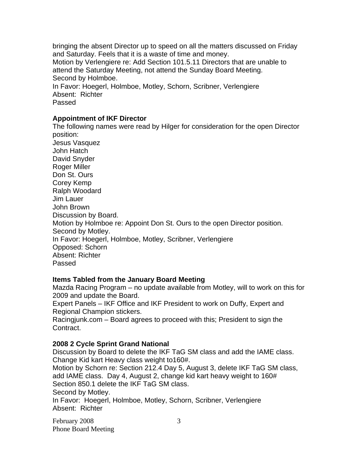bringing the absent Director up to speed on all the matters discussed on Friday and Saturday. Feels that it is a waste of time and money. Motion by Verlengiere re: Add Section 101.5.11 Directors that are unable to attend the Saturday Meeting, not attend the Sunday Board Meeting. Second by Holmboe. In Favor: Hoegerl, Holmboe, Motley, Schorn, Scribner, Verlengiere Absent: Richter Passed

### **Appointment of IKF Director**

The following names were read by Hilger for consideration for the open Director position: Jesus Vasquez John Hatch David Snyder Roger Miller Don St. Ours Corey Kemp Ralph Woodard Jim Lauer John Brown Discussion by Board. Motion by Holmboe re: Appoint Don St. Ours to the open Director position. Second by Motley. In Favor: Hoegerl, Holmboe, Motley, Scribner, Verlengiere Opposed: Schorn Absent: Richter Passed

#### **Items Tabled from the January Board Meeting**

Mazda Racing Program – no update available from Motley, will to work on this for 2009 and update the Board.

Expert Panels – IKF Office and IKF President to work on Duffy, Expert and Regional Champion stickers.

Racingjunk.com – Board agrees to proceed with this; President to sign the Contract.

## **2008 2 Cycle Sprint Grand National**

Discussion by Board to delete the IKF TaG SM class and add the IAME class. Change Kid kart Heavy class weight to160#.

Motion by Schorn re: Section 212.4 Day 5, August 3, delete IKF TaG SM class, add IAME class. Day 4, August 2, change kid kart heavy weight to 160# Section 850.1 delete the IKF TaG SM class. Second by Motley. In Favor: Hoegerl, Holmboe, Motley, Schorn, Scribner, Verlengiere Absent: Richter

February 2008 Phone Board Meeting